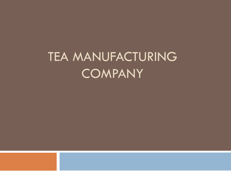# TEA MANUFACTURING **COMPANY**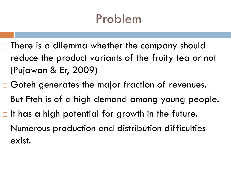### Problem

- $\Box$  There is a dilemma whether the company should reduce the product variants of the fruity tea or not (Pujawan & Er, 2009)
- □ Goteh generates the major fraction of revenues.
- □ But Fteh is of a high demand among young people.
- $\Box$  It has a high potential for growth in the future.
- □ Numerous production and distribution difficulties exist.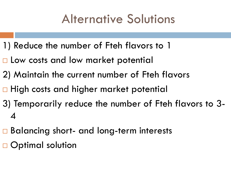### Alternative Solutions

- 1) Reduce the number of Fteh flavors to 1
- □ Low costs and low market potential
- 2) Maintain the current number of Fteh flavors
- □ High costs and higher market potential
- 3) Temporarily reduce the number of Fteh flavors to 3- 4
- **□ Balancing short- and long-term interests**
- □ Optimal solution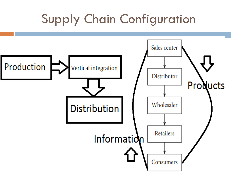## Supply Chain Configuration

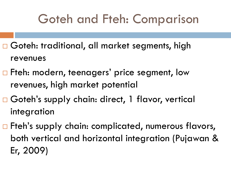### Goteh and Fteh: Comparison

- Goteh: traditional, all market segments, high revenues
- □ Fteh: modern, teenagers' price segment, low revenues, high market potential
- □ Goteh's supply chain: direct, 1 flavor, vertical integration
- □ Fteh's supply chain: complicated, numerous flavors, both vertical and horizontal integration (Pujawan & Er, 2009)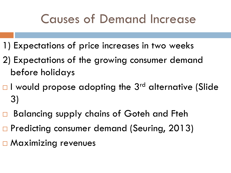#### Causes of Demand Increase

- 1) Expectations of price increases in two weeks
- 2) Expectations of the growing consumer demand before holidays
- $\Box$  I would propose adopting the 3<sup>rd</sup> alternative (Slide 3)
- □ Balancing supply chains of Goteh and Fteh
- □ Predicting consumer demand (Seuring, 2013)
- □ Maximizing revenues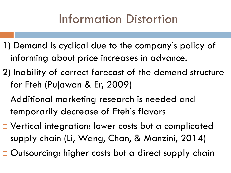### Information Distortion

- 1) Demand is cyclical due to the company's policy of informing about price increases in advance.
- 2) Inability of correct forecast of the demand structure for Fteh (Pujawan & Er, 2009)
- □ Additional marketing research is needed and temporarily decrease of Fteh's flavors
- □ Vertical integration: lower costs but a complicated supply chain (Li, Wang, Chan, & Manzini, 2014)
- $\Box$  Outsourcing: higher costs but a direct supply chain